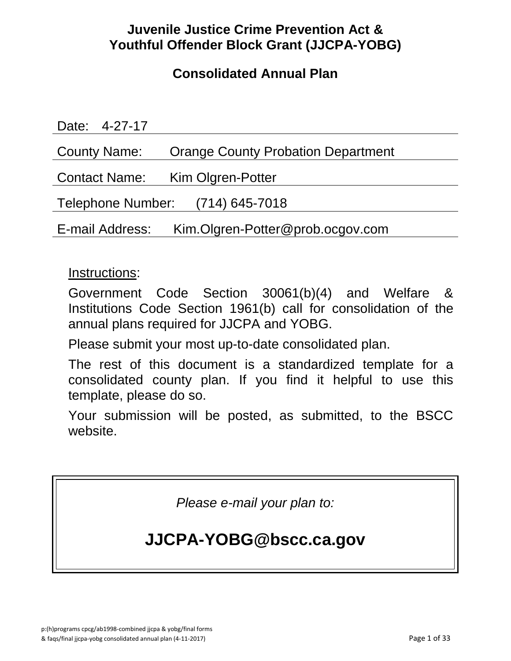# **Juvenile Justice Crime Prevention Act & Youthful Offender Block Grant (JJCPA-YOBG)**

# **Consolidated Annual Plan**

| Date: 4-27-17                                       |                                           |
|-----------------------------------------------------|-------------------------------------------|
| <b>County Name:</b>                                 | <b>Orange County Probation Department</b> |
|                                                     | Contact Name: Kim Olgren-Potter           |
| Telephone Number: (714) 645-7018                    |                                           |
| Kim.Olgren-Potter@prob.ocgov.com<br>E-mail Address: |                                           |

# Instructions:

Government Code Section 30061(b)(4) and Welfare & Institutions Code Section 1961(b) call for consolidation of the annual plans required for JJCPA and YOBG.

Please submit your most up-to-date consolidated plan.

The rest of this document is a standardized template for a consolidated county plan. If you find it helpful to use this template, please do so.

Your submission will be posted, as submitted, to the BSCC website.

*Please e-mail your plan to:*

# **JJCPA-YOBG@bscc.ca.gov**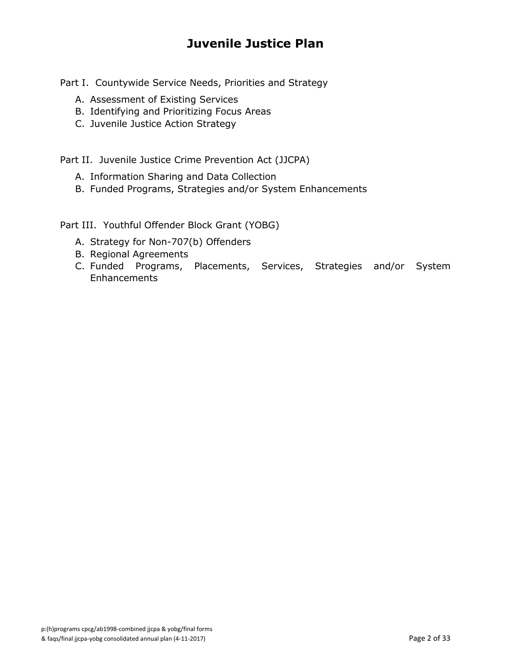# **Juvenile Justice Plan**

Part I. Countywide Service Needs, Priorities and Strategy

- A. Assessment of Existing Services
- B. Identifying and Prioritizing Focus Areas
- C. Juvenile Justice Action Strategy

Part II. Juvenile Justice Crime Prevention Act (JJCPA)

- A. Information Sharing and Data Collection
- B. Funded Programs, Strategies and/or System Enhancements

Part III. Youthful Offender Block Grant (YOBG)

- A. Strategy for Non-707(b) Offenders
- B. Regional Agreements
- C. Funded Programs, Placements, Services, Strategies and/or System **Enhancements**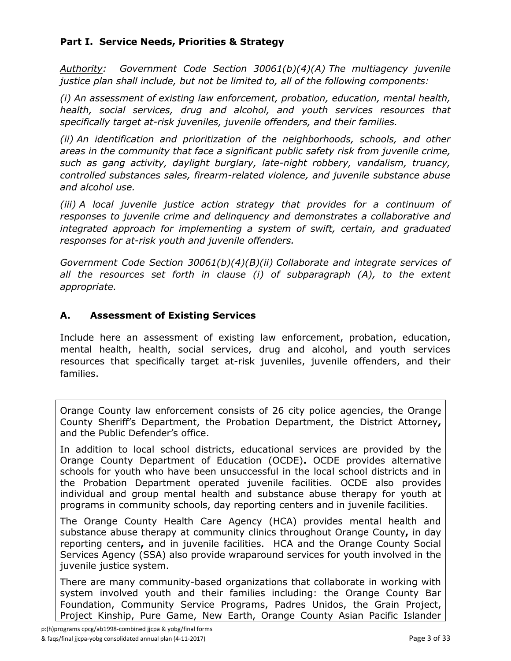### **Part I. Service Needs, Priorities & Strategy**

*Authority: Government Code Section 30061(b)(4)(A) The multiagency juvenile justice plan shall include, but not be limited to, all of the following components:*

*(i) An assessment of existing law enforcement, probation, education, mental health, health, social services, drug and alcohol, and youth services resources that specifically target at-risk juveniles, juvenile offenders, and their families.*

*(ii) An identification and prioritization of the neighborhoods, schools, and other areas in the community that face a significant public safety risk from juvenile crime, such as gang activity, daylight burglary, late-night robbery, vandalism, truancy, controlled substances sales, firearm-related violence, and juvenile substance abuse and alcohol use.*

*(iii) A local juvenile justice action strategy that provides for a continuum of responses to juvenile crime and delinquency and demonstrates a collaborative and integrated approach for implementing a system of swift, certain, and graduated responses for at-risk youth and juvenile offenders.*

*Government Code Section 30061(b)(4)(B)(ii) Collaborate and integrate services of*  all the resources set forth in clause (i) of subparagraph (A), to the extent *appropriate.*

#### **A. Assessment of Existing Services**

Include here an assessment of existing law enforcement, probation, education, mental health, health, social services, drug and alcohol, and youth services resources that specifically target at-risk juveniles, juvenile offenders, and their families.

Orange County law enforcement consists of 26 city police agencies, the Orange County Sheriff's Department, the Probation Department, the District Attorney**,** and the Public Defender's office.

In addition to local school districts, educational services are provided by the Orange County Department of Education (OCDE)**.** OCDE provides alternative schools for youth who have been unsuccessful in the local school districts and in the Probation Department operated juvenile facilities. OCDE also provides individual and group mental health and substance abuse therapy for youth at programs in community schools, day reporting centers and in juvenile facilities.

The Orange County Health Care Agency (HCA) provides mental health and substance abuse therapy at community clinics throughout Orange County**,** in day reporting centers**,** and in juvenile facilities. HCA and the Orange County Social Services Agency (SSA) also provide wraparound services for youth involved in the juvenile justice system.

There are many community-based organizations that collaborate in working with system involved youth and their families including: the Orange County Bar Foundation, Community Service Programs, Padres Unidos, the Grain Project, Project Kinship, Pure Game, New Earth, Orange County Asian Pacific Islander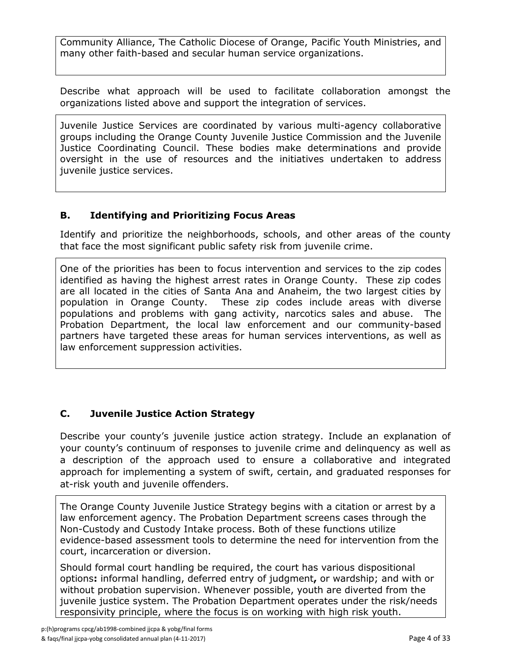Community Alliance, The Catholic Diocese of Orange, Pacific Youth Ministries, and many other faith-based and secular human service organizations.

Describe what approach will be used to facilitate collaboration amongst the organizations listed above and support the integration of services.

Juvenile Justice Services are coordinated by various multi-agency collaborative groups including the Orange County Juvenile Justice Commission and the Juvenile Justice Coordinating Council. These bodies make determinations and provide oversight in the use of resources and the initiatives undertaken to address juvenile justice services.

### **B. Identifying and Prioritizing Focus Areas**

Identify and prioritize the neighborhoods, schools, and other areas of the county that face the most significant public safety risk from juvenile crime.

One of the priorities has been to focus intervention and services to the zip codes identified as having the highest arrest rates in Orange County. These zip codes are all located in the cities of Santa Ana and Anaheim, the two largest cities by population in Orange County. These zip codes include areas with diverse populations and problems with gang activity, narcotics sales and abuse. The Probation Department, the local law enforcement and our community-based partners have targeted these areas for human services interventions, as well as law enforcement suppression activities.

### **C. Juvenile Justice Action Strategy**

Describe your county's juvenile justice action strategy. Include an explanation of your county's continuum of responses to juvenile crime and delinquency as well as a description of the approach used to ensure a collaborative and integrated approach for implementing a system of swift, certain, and graduated responses for at-risk youth and juvenile offenders.

The Orange County Juvenile Justice Strategy begins with a citation or arrest by a law enforcement agency. The Probation Department screens cases through the Non-Custody and Custody Intake process. Both of these functions utilize evidence-based assessment tools to determine the need for intervention from the court, incarceration or diversion.

Should formal court handling be required, the court has various dispositional options**:** informal handling, deferred entry of judgment**,** or wardship; and with or without probation supervision. Whenever possible, youth are diverted from the juvenile justice system. The Probation Department operates under the risk/needs responsivity principle, where the focus is on working with high risk youth.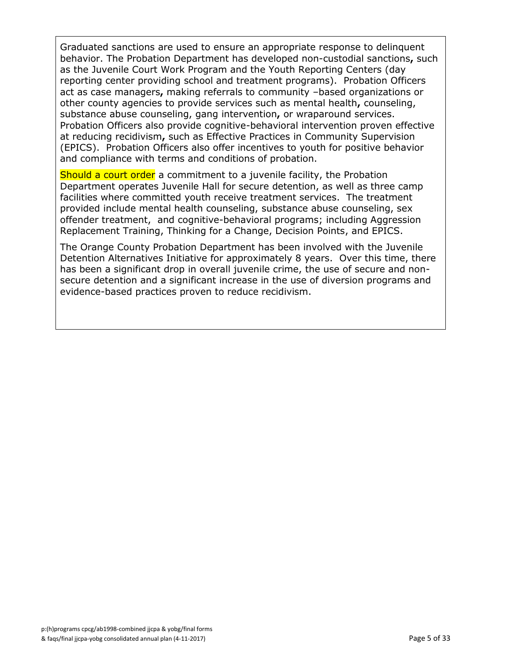Graduated sanctions are used to ensure an appropriate response to delinquent behavior. The Probation Department has developed non-custodial sanctions**,** such as the Juvenile Court Work Program and the Youth Reporting Centers (day reporting center providing school and treatment programs). Probation Officers act as case managers**,** making referrals to community –based organizations or other county agencies to provide services such as mental health**,** counseling, substance abuse counseling, gang intervention**,** or wraparound services. Probation Officers also provide cognitive-behavioral intervention proven effective at reducing recidivism**,** such as Effective Practices in Community Supervision (EPICS). Probation Officers also offer incentives to youth for positive behavior and compliance with terms and conditions of probation.

Should a court order a commitment to a juvenile facility, the Probation Department operates Juvenile Hall for secure detention, as well as three camp facilities where committed youth receive treatment services. The treatment provided include mental health counseling, substance abuse counseling, sex offender treatment, and cognitive-behavioral programs; including Aggression Replacement Training, Thinking for a Change, Decision Points, and EPICS.

The Orange County Probation Department has been involved with the Juvenile Detention Alternatives Initiative for approximately 8 years. Over this time, there has been a significant drop in overall juvenile crime, the use of secure and nonsecure detention and a significant increase in the use of diversion programs and evidence-based practices proven to reduce recidivism.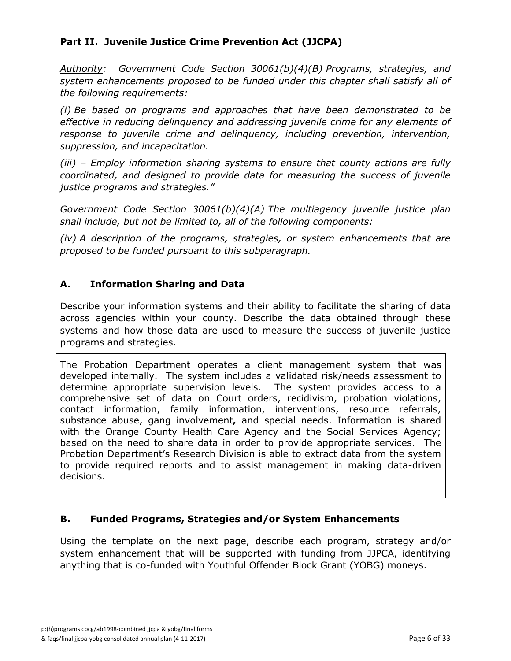### **Part II. Juvenile Justice Crime Prevention Act (JJCPA)**

*Authority: Government Code Section 30061(b)(4)(B) Programs, strategies, and system enhancements proposed to be funded under this chapter shall satisfy all of the following requirements:*

*(i) Be based on programs and approaches that have been demonstrated to be effective in reducing delinquency and addressing juvenile crime for any elements of response to juvenile crime and delinquency, including prevention, intervention, suppression, and incapacitation.*

*(iii) – Employ information sharing systems to ensure that county actions are fully coordinated, and designed to provide data for measuring the success of juvenile justice programs and strategies."*

*Government Code Section 30061(b)(4)(A) The multiagency juvenile justice plan shall include, but not be limited to, all of the following components:*

*(iv) A description of the programs, strategies, or system enhancements that are proposed to be funded pursuant to this subparagraph.*

#### **A. Information Sharing and Data**

Describe your information systems and their ability to facilitate the sharing of data across agencies within your county. Describe the data obtained through these systems and how those data are used to measure the success of juvenile justice programs and strategies.

The Probation Department operates a client management system that was developed internally. The system includes a validated risk/needs assessment to determine appropriate supervision levels. The system provides access to a comprehensive set of data on Court orders, recidivism, probation violations, contact information, family information, interventions, resource referrals, substance abuse, gang involvement**,** and special needs. Information is shared with the Orange County Health Care Agency and the Social Services Agency; based on the need to share data in order to provide appropriate services. The Probation Department's Research Division is able to extract data from the system to provide required reports and to assist management in making data-driven decisions.

### **B. Funded Programs, Strategies and/or System Enhancements**

Using the template on the next page, describe each program, strategy and/or system enhancement that will be supported with funding from JJPCA, identifying anything that is co-funded with Youthful Offender Block Grant (YOBG) moneys.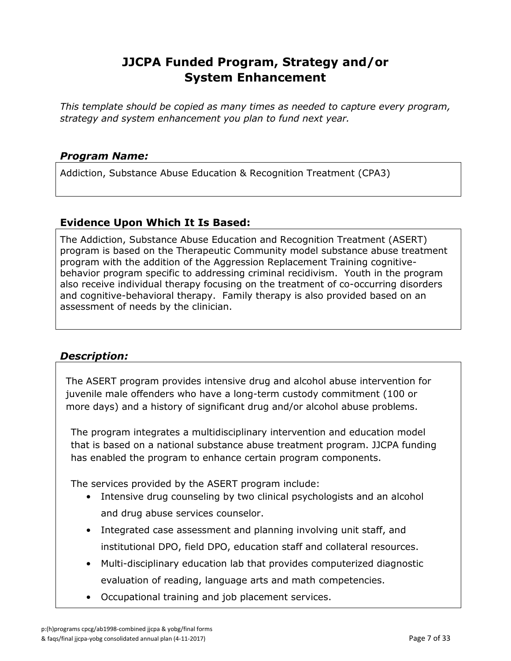*This template should be copied as many times as needed to capture every program, strategy and system enhancement you plan to fund next year.*

#### *Program Name:*

Addiction, Substance Abuse Education & Recognition Treatment (CPA3)

### **Evidence Upon Which It Is Based:**

The Addiction, Substance Abuse Education and Recognition Treatment (ASERT) program is based on the Therapeutic Community model substance abuse treatment program with the addition of the Aggression Replacement Training cognitivebehavior program specific to addressing criminal recidivism. Youth in the program also receive individual therapy focusing on the treatment of co-occurring disorders and cognitive-behavioral therapy. Family therapy is also provided based on an assessment of needs by the clinician.

### *Description:*

The ASERT program provides intensive drug and alcohol abuse intervention for juvenile male offenders who have a long-term custody commitment (100 or more days) and a history of significant drug and/or alcohol abuse problems.

The program integrates a multidisciplinary intervention and education model that is based on a national substance abuse treatment program. JJCPA funding has enabled the program to enhance certain program components.

The services provided by the ASERT program include:

- Intensive drug counseling by two clinical psychologists and an alcohol and drug abuse services counselor.
- Integrated case assessment and planning involving unit staff, and institutional DPO, field DPO, education staff and collateral resources.
- Multi-disciplinary education lab that provides computerized diagnostic evaluation of reading, language arts and math competencies.
- Occupational training and job placement services.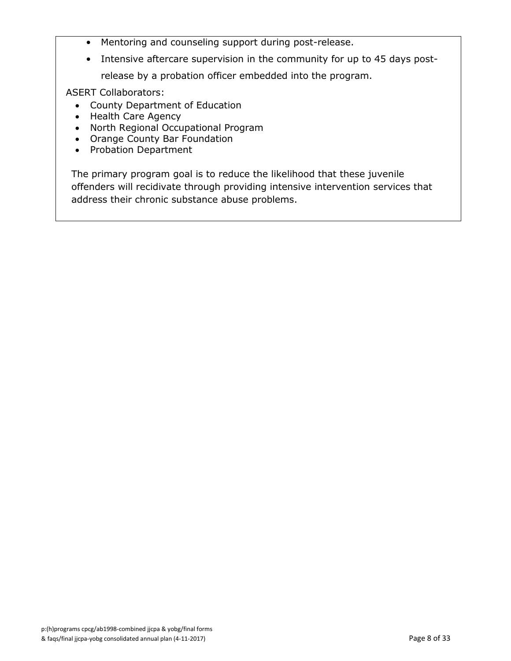- Mentoring and counseling support during post-release.
- Intensive aftercare supervision in the community for up to 45 days postrelease by a probation officer embedded into the program.

ASERT Collaborators:

- County Department of Education
- Health Care Agency
- North Regional Occupational Program
- Orange County Bar Foundation
- Probation Department

The primary program goal is to reduce the likelihood that these juvenile offenders will recidivate through providing intensive intervention services that address their chronic substance abuse problems.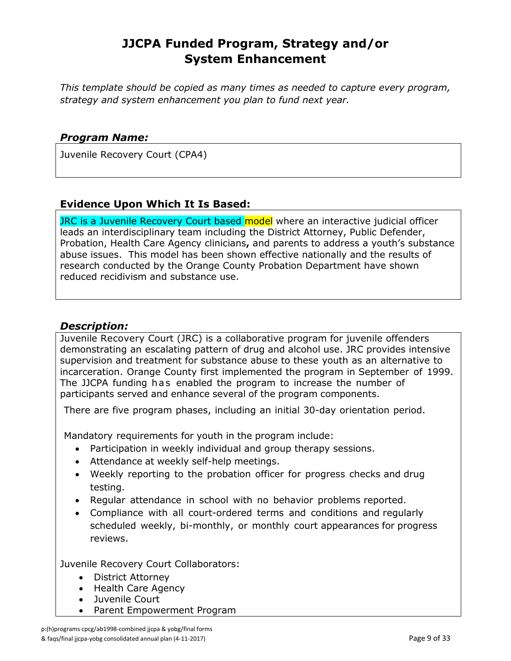*This template should be copied as many times as needed to capture every program, strategy and system enhancement you plan to fund next year.*

#### *Program Name:*

Juvenile Recovery Court (CPA4)

#### **Evidence Upon Which It Is Based:**

JRC is a Juvenile Recovery Court based model where an interactive judicial officer leads an interdisciplinary team including the District Attorney, Public Defender, Probation, Health Care Agency clinicians**,** and parents to address a youth's substance abuse issues. This model has been shown effective nationally and the results of research conducted by the Orange County Probation Department have shown reduced recidivism and substance use.

#### *Description:*

Juvenile Recovery Court (JRC) is a collaborative program for juvenile offenders demonstrating an escalating pattern of drug and alcohol use. JRC provides intensive supervision and treatment for substance abuse to these youth as an alternative to incarceration. Orange County first implemented the program in September of 1999. The JJCPA funding has enabled the program to increase the number of participants served and enhance several of the program components.

There are five program phases, including an initial 30-day orientation period.

Mandatory requirements for youth in the program include:

- Participation in weekly individual and group therapy sessions.
- Attendance at weekly self-help meetings.
- Weekly reporting to the probation officer for progress checks and drug testing.
- Regular attendance in school with no behavior problems reported.
- Compliance with all court-ordered terms and conditions and regularly scheduled weekly, bi-monthly, or monthly court appearances for progress reviews.

Juvenile Recovery Court Collaborators:

- District Attorney
- Health Care Agency
- Juvenile Court
- Parent Empowerment Program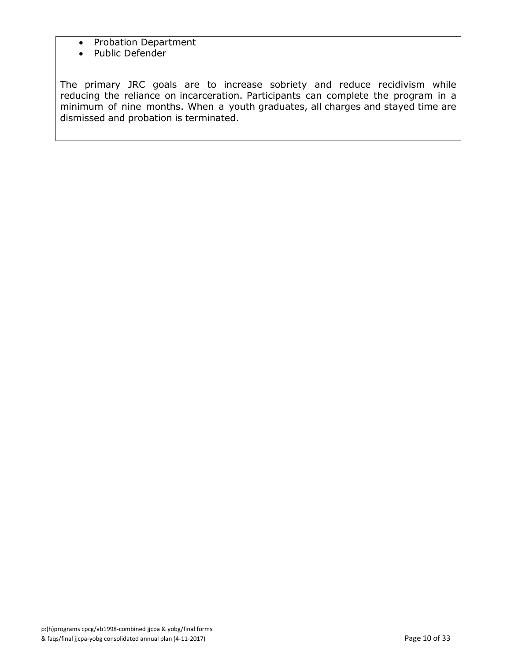- Probation Department
- Public Defender

The primary JRC goals are to increase sobriety and reduce recidivism while reducing the reliance on incarceration. Participants can complete the program in a minimum of nine months. When a youth graduates, all charges and stayed time are dismissed and probation is terminated.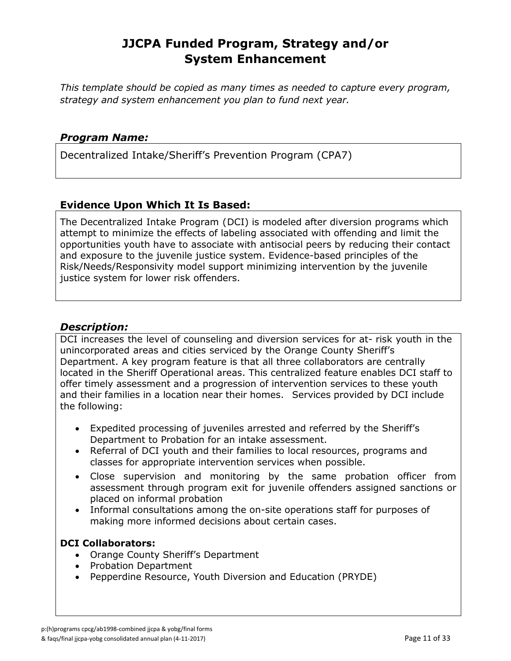*This template should be copied as many times as needed to capture every program, strategy and system enhancement you plan to fund next year.*

#### *Program Name:*

Decentralized Intake/Sheriff's Prevention Program (CPA7)

#### **Evidence Upon Which It Is Based:**

The Decentralized Intake Program (DCI) is modeled after diversion programs which attempt to minimize the effects of labeling associated with offending and limit the opportunities youth have to associate with antisocial peers by reducing their contact and exposure to the juvenile justice system. Evidence-based principles of the Risk/Needs/Responsivity model support minimizing intervention by the juvenile justice system for lower risk offenders.

#### *Description:*

DCI increases the level of counseling and diversion services for at- risk youth in the unincorporated areas and cities serviced by the Orange County Sheriff's Department. A key program feature is that all three collaborators are centrally located in the Sheriff Operational areas. This centralized feature enables DCI staff to offer timely assessment and a progression of intervention services to these youth and their families in a location near their homes. Services provided by DCI include the following:

- Expedited processing of juveniles arrested and referred by the Sheriff's Department to Probation for an intake assessment.
- Referral of DCI youth and their families to local resources, programs and classes for appropriate intervention services when possible.
- Close supervision and monitoring by the same probation officer from assessment through program exit for juvenile offenders assigned sanctions or placed on informal probation
- Informal consultations among the on-site operations staff for purposes of making more informed decisions about certain cases.

#### **DCI Collaborators:**

- Orange County Sheriff's Department
- Probation Department
- Pepperdine Resource, Youth Diversion and Education (PRYDE)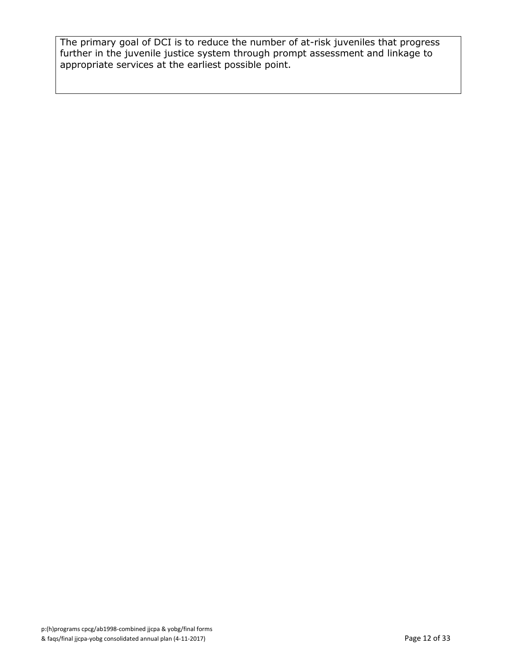The primary goal of DCI is to reduce the number of at-risk juveniles that progress further in the juvenile justice system through prompt assessment and linkage to appropriate services at the earliest possible point.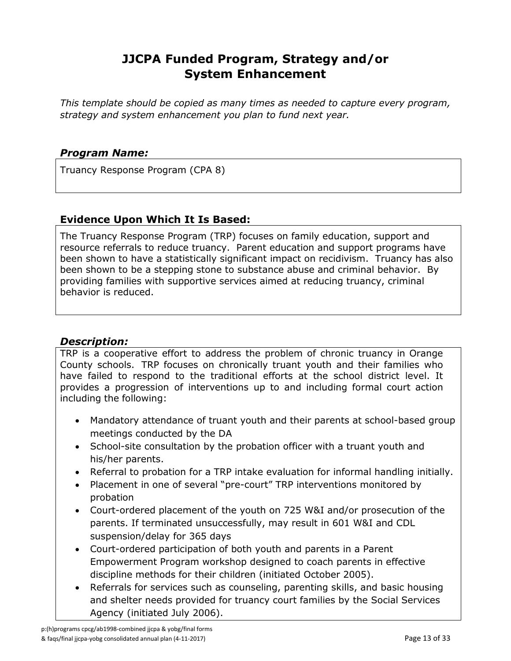*This template should be copied as many times as needed to capture every program, strategy and system enhancement you plan to fund next year.*

### *Program Name:*

Truancy Response Program (CPA 8)

# **Evidence Upon Which It Is Based:**

The Truancy Response Program (TRP) focuses on family education, support and resource referrals to reduce truancy. Parent education and support programs have been shown to have a statistically significant impact on recidivism. Truancy has also been shown to be a stepping stone to substance abuse and criminal behavior. By providing families with supportive services aimed at reducing truancy, criminal behavior is reduced.

### *Description:*

TRP is a cooperative effort to address the problem of chronic truancy in Orange County schools. TRP focuses on chronically truant youth and their families who have failed to respond to the traditional efforts at the school district level. It provides a progression of interventions up to and including formal court action including the following:

- Mandatory attendance of truant youth and their parents at school-based group meetings conducted by the DA
- School-site consultation by the probation officer with a truant youth and his/her parents.
- Referral to probation for a TRP intake evaluation for informal handling initially.
- Placement in one of several "pre-court" TRP interventions monitored by probation
- Court-ordered placement of the youth on 725 W&I and/or prosecution of the parents. If terminated unsuccessfully, may result in 601 W&I and CDL suspension/delay for 365 days
- Court-ordered participation of both youth and parents in a Parent Empowerment Program workshop designed to coach parents in effective discipline methods for their children (initiated October 2005).
- Referrals for services such as counseling, parenting skills, and basic housing and shelter needs provided for truancy court families by the Social Services Agency (initiated July 2006).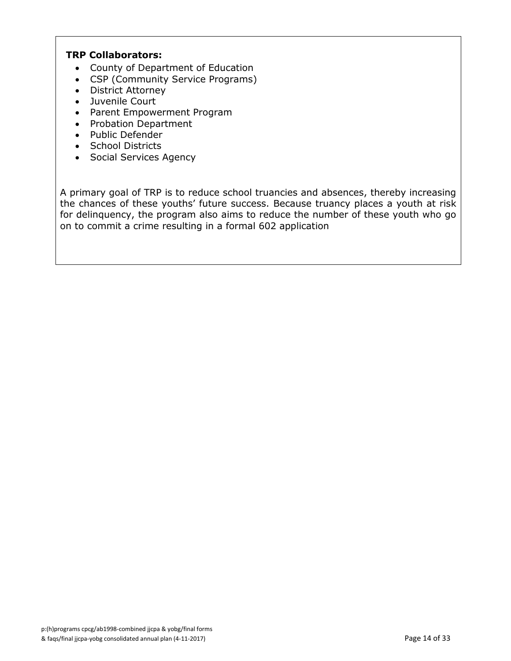#### **TRP Collaborators:**

- County of Department of Education
- CSP (Community Service Programs)
- District Attorney
- Juvenile Court
- Parent Empowerment Program
- Probation Department
- Public Defender
- School Districts
- Social Services Agency

A primary goal of TRP is to reduce school truancies and absences, thereby increasing the chances of these youths' future success. Because truancy places a youth at risk for delinquency, the program also aims to reduce the number of these youth who go on to commit a crime resulting in a formal 602 application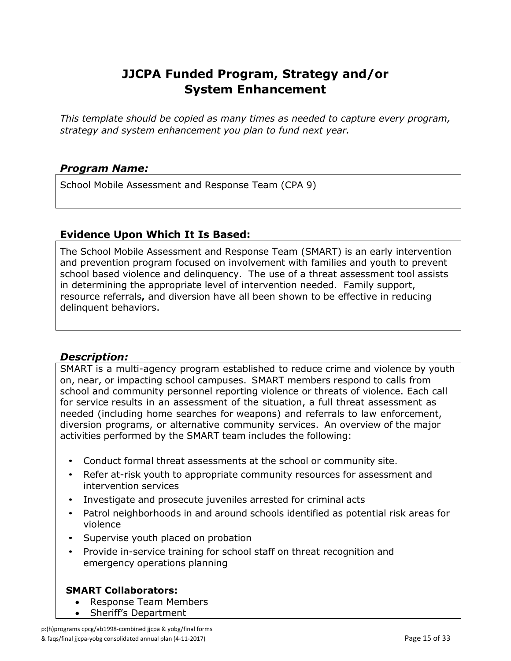*This template should be copied as many times as needed to capture every program, strategy and system enhancement you plan to fund next year.*

### *Program Name:*

School Mobile Assessment and Response Team (CPA 9)

#### **Evidence Upon Which It Is Based:**

The School Mobile Assessment and Response Team (SMART) is an early intervention and prevention program focused on involvement with families and youth to prevent school based violence and delinquency. The use of a threat assessment tool assists in determining the appropriate level of intervention needed. Family support, resource referrals**,** and diversion have all been shown to be effective in reducing delinquent behaviors.

### *Description:*

SMART is a multi-agency program established to reduce crime and violence by youth on, near, or impacting school campuses. SMART members respond to calls from school and community personnel reporting violence or threats of violence. Each call for service results in an assessment of the situation, a full threat assessment as needed (including home searches for weapons) and referrals to law enforcement, diversion programs, or alternative community services. An overview of the major activities performed by the SMART team includes the following:

- Conduct formal threat assessments at the school or community site.
- Refer at-risk youth to appropriate community resources for assessment and intervention services
- Investigate and prosecute juveniles arrested for criminal acts
- Patrol neighborhoods in and around schools identified as potential risk areas for violence
- Supervise youth placed on probation
- Provide in-service training for school staff on threat recognition and emergency operations planning

### **SMART Collaborators:**

- Response Team Members
- Sheriff's Department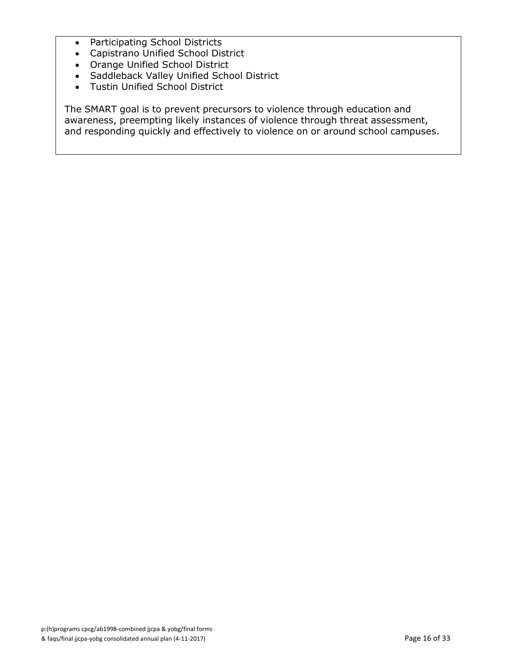- Participating School Districts
- Capistrano Unified School District
- Orange Unified School District
- Saddleback Valley Unified School District
- Tustin Unified School District

The SMART goal is to prevent precursors to violence through education and awareness, preempting likely instances of violence through threat assessment, and responding quickly and effectively to violence on or around school campuses.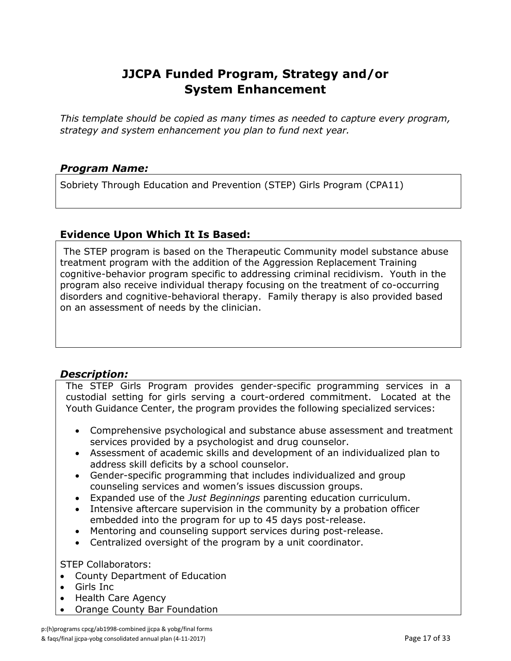*This template should be copied as many times as needed to capture every program, strategy and system enhancement you plan to fund next year.*

### *Program Name:*

Sobriety Through Education and Prevention (STEP) Girls Program (CPA11)

#### **Evidence Upon Which It Is Based:**

The STEP program is based on the Therapeutic Community model substance abuse treatment program with the addition of the Aggression Replacement Training cognitive-behavior program specific to addressing criminal recidivism. Youth in the program also receive individual therapy focusing on the treatment of co-occurring disorders and cognitive-behavioral therapy. Family therapy is also provided based on an assessment of needs by the clinician.

### *Description:*

The STEP Girls Program provides gender-specific programming services in a custodial setting for girls serving a court-ordered commitment. Located at the Youth Guidance Center, the program provides the following specialized services:

- Comprehensive psychological and substance abuse assessment and treatment services provided by a psychologist and drug counselor.
- Assessment of academic skills and development of an individualized plan to address skill deficits by a school counselor.
- Gender-specific programming that includes individualized and group counseling services and women's issues discussion groups.
- Expanded use of the *Just Beginnings* parenting education curriculum.
- Intensive aftercare supervision in the community by a probation officer embedded into the program for up to 45 days post-release.
- Mentoring and counseling support services during post-release.
- Centralized oversight of the program by a unit coordinator.

#### STEP Collaborators:

- County Department of Education
- Girls Inc
- Health Care Agency
- Orange County Bar Foundation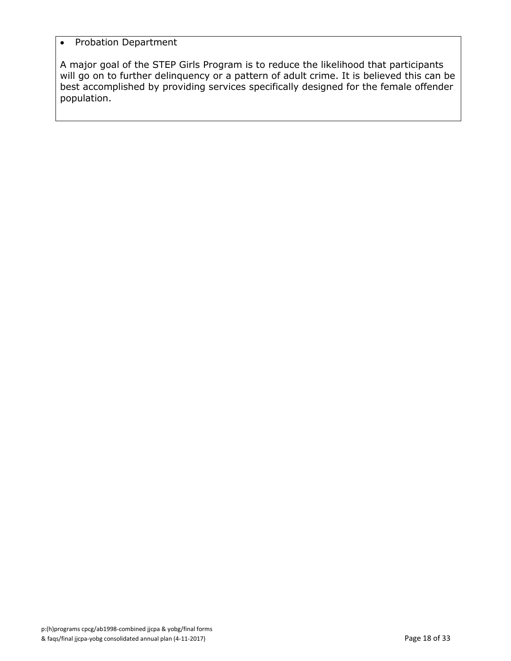#### • Probation Department

A major goal of the STEP Girls Program is to reduce the likelihood that participants will go on to further delinquency or a pattern of adult crime. It is believed this can be best accomplished by providing services specifically designed for the female offender population.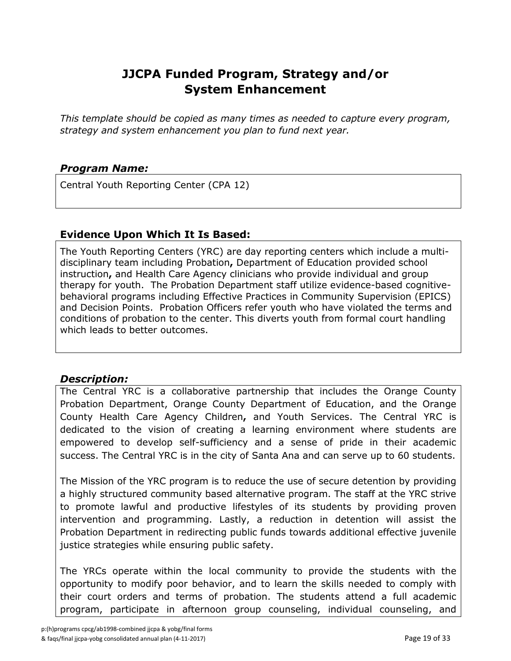*This template should be copied as many times as needed to capture every program, strategy and system enhancement you plan to fund next year.*

### *Program Name:*

Central Youth Reporting Center (CPA 12)

#### **Evidence Upon Which It Is Based:**

The Youth Reporting Centers (YRC) are day reporting centers which include a multidisciplinary team including Probation**,** Department of Education provided school instruction**,** and Health Care Agency clinicians who provide individual and group therapy for youth. The Probation Department staff utilize evidence-based cognitivebehavioral programs including Effective Practices in Community Supervision (EPICS) and Decision Points. Probation Officers refer youth who have violated the terms and conditions of probation to the center. This diverts youth from formal court handling which leads to better outcomes.

### *Description:*

The Central YRC is a collaborative partnership that includes the Orange County Probation Department, Orange County Department of Education, and the Orange County Health Care Agency Children**,** and Youth Services. The Central YRC is dedicated to the vision of creating a learning environment where students are empowered to develop self-sufficiency and a sense of pride in their academic success. The Central YRC is in the city of Santa Ana and can serve up to 60 students.

The Mission of the YRC program is to reduce the use of secure detention by providing a highly structured community based alternative program. The staff at the YRC strive to promote lawful and productive lifestyles of its students by providing proven intervention and programming. Lastly, a reduction in detention will assist the Probation Department in redirecting public funds towards additional effective juvenile justice strategies while ensuring public safety.

The YRCs operate within the local community to provide the students with the opportunity to modify poor behavior, and to learn the skills needed to comply with their court orders and terms of probation. The students attend a full academic program, participate in afternoon group counseling, individual counseling, and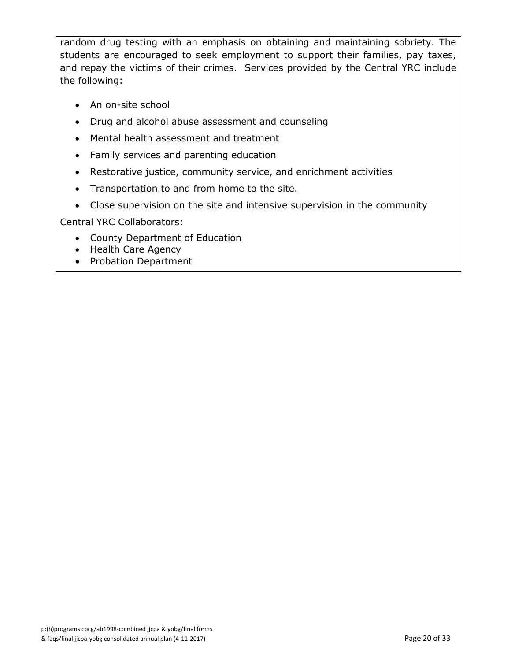random drug testing with an emphasis on obtaining and maintaining sobriety. The students are encouraged to seek employment to support their families, pay taxes, and repay the victims of their crimes. Services provided by the Central YRC include the following:

- An on-site school
- Drug and alcohol abuse assessment and counseling
- Mental health assessment and treatment
- Family services and parenting education
- Restorative justice, community service, and enrichment activities
- Transportation to and from home to the site.
- Close supervision on the site and intensive supervision in the community

Central YRC Collaborators:

- County Department of Education
- Health Care Agency
- Probation Department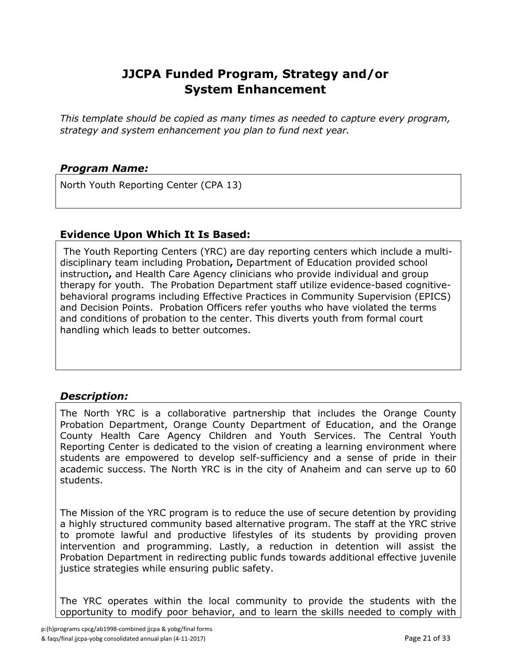*This template should be copied as many times as needed to capture every program, strategy and system enhancement you plan to fund next year.*

### *Program Name:*

North Youth Reporting Center (CPA 13)

#### **Evidence Upon Which It Is Based:**

The Youth Reporting Centers (YRC) are day reporting centers which include a multidisciplinary team including Probation**,** Department of Education provided school instruction**,** and Health Care Agency clinicians who provide individual and group therapy for youth. The Probation Department staff utilize evidence-based cognitivebehavioral programs including Effective Practices in Community Supervision (EPICS) and Decision Points. Probation Officers refer youths who have violated the terms and conditions of probation to the center. This diverts youth from formal court handling which leads to better outcomes.

# *Description:*

The North YRC is a collaborative partnership that includes the Orange County Probation Department, Orange County Department of Education, and the Orange County Health Care Agency Children and Youth Services. The Central Youth Reporting Center is dedicated to the vision of creating a learning environment where students are empowered to develop self-sufficiency and a sense of pride in their academic success. The North YRC is in the city of Anaheim and can serve up to 60 students.

The Mission of the YRC program is to reduce the use of secure detention by providing a highly structured community based alternative program. The staff at the YRC strive to promote lawful and productive lifestyles of its students by providing proven intervention and programming. Lastly, a reduction in detention will assist the Probation Department in redirecting public funds towards additional effective juvenile justice strategies while ensuring public safety.

The YRC operates within the local community to provide the students with the opportunity to modify poor behavior, and to learn the skills needed to comply with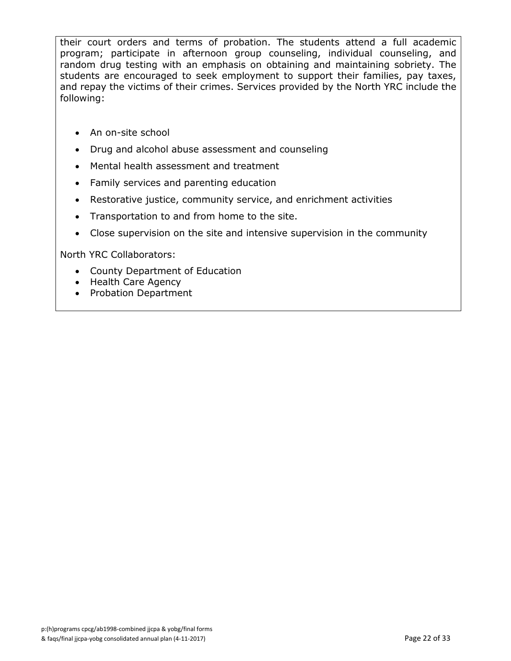their court orders and terms of probation. The students attend a full academic program; participate in afternoon group counseling, individual counseling, and random drug testing with an emphasis on obtaining and maintaining sobriety. The students are encouraged to seek employment to support their families, pay taxes, and repay the victims of their crimes. Services provided by the North YRC include the following:

- An on-site school
- Drug and alcohol abuse assessment and counseling
- Mental health assessment and treatment
- Family services and parenting education
- Restorative justice, community service, and enrichment activities
- Transportation to and from home to the site.
- Close supervision on the site and intensive supervision in the community

North YRC Collaborators:

- County Department of Education
- Health Care Agency
- Probation Department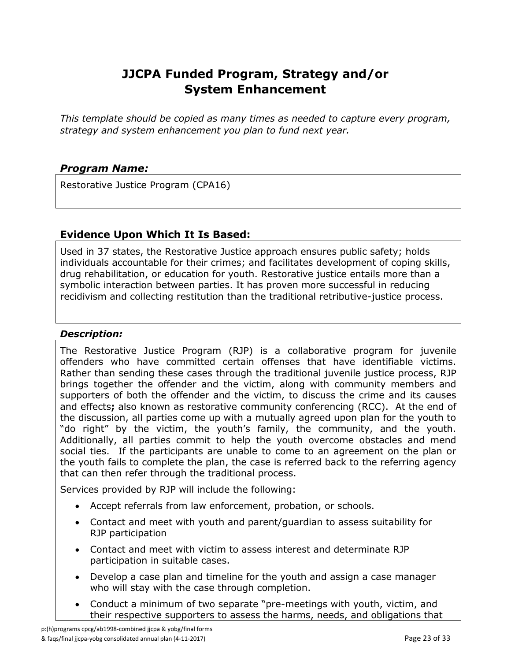*This template should be copied as many times as needed to capture every program, strategy and system enhancement you plan to fund next year.*

### *Program Name:*

Restorative Justice Program (CPA16)

#### **Evidence Upon Which It Is Based:**

Used in 37 states, the Restorative Justice approach ensures public safety; holds individuals accountable for their crimes; and facilitates development of coping skills, drug rehabilitation, or education for youth. Restorative justice entails more than a symbolic interaction between parties. It has proven more successful in reducing recidivism and collecting restitution than the traditional retributive-justice process.

#### *Description:*

The Restorative Justice Program (RJP) is a collaborative program for juvenile offenders who have committed certain offenses that have identifiable victims. Rather than sending these cases through the traditional juvenile justice process, RJP brings together the offender and the victim, along with community members and supporters of both the offender and the victim, to discuss the crime and its causes and effects**;** also known as restorative community conferencing (RCC). At the end of the discussion, all parties come up with a mutually agreed upon plan for the youth to "do right" by the victim, the youth's family, the community, and the youth. Additionally, all parties commit to help the youth overcome obstacles and mend social ties. If the participants are unable to come to an agreement on the plan or the youth fails to complete the plan, the case is referred back to the referring agency that can then refer through the traditional process.

Services provided by RJP will include the following:

- Accept referrals from law enforcement, probation, or schools.
- Contact and meet with youth and parent/guardian to assess suitability for RJP participation
- Contact and meet with victim to assess interest and determinate RJP participation in suitable cases.
- Develop a case plan and timeline for the youth and assign a case manager who will stay with the case through completion.
- Conduct a minimum of two separate "pre-meetings with youth, victim, and their respective supporters to assess the harms, needs, and obligations that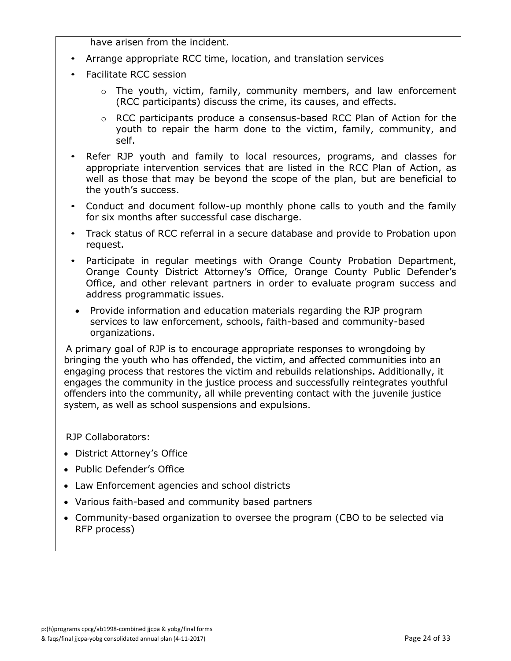have arisen from the incident.

- Arrange appropriate RCC time, location, and translation services
- Facilitate RCC session
	- $\circ$  The youth, victim, family, community members, and law enforcement (RCC participants) discuss the crime, its causes, and effects.
	- $\circ$  RCC participants produce a consensus-based RCC Plan of Action for the youth to repair the harm done to the victim, family, community, and self.
- Refer RJP youth and family to local resources, programs, and classes for appropriate intervention services that are listed in the RCC Plan of Action, as well as those that may be beyond the scope of the plan, but are beneficial to the youth's success.
- Conduct and document follow-up monthly phone calls to youth and the family for six months after successful case discharge.
- Track status of RCC referral in a secure database and provide to Probation upon request.
- Participate in regular meetings with Orange County Probation Department, Orange County District Attorney's Office, Orange County Public Defender's Office, and other relevant partners in order to evaluate program success and address programmatic issues.
- Provide information and education materials regarding the RJP program services to law enforcement, schools, faith-based and community-based organizations.

A primary goal of RJP is to encourage appropriate responses to wrongdoing by bringing the youth who has offended, the victim, and affected communities into an engaging process that restores the victim and rebuilds relationships. Additionally, it engages the community in the justice process and successfully reintegrates youthful offenders into the community, all while preventing contact with the juvenile justice system, as well as school suspensions and expulsions.

RJP Collaborators:

- District Attorney's Office
- Public Defender's Office
- Law Enforcement agencies and school districts
- Various faith-based and community based partners
- Community-based organization to oversee the program (CBO to be selected via RFP process)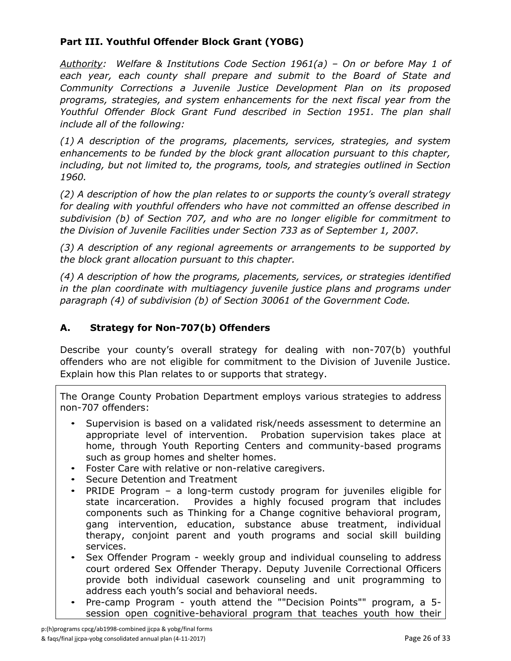### **Part III. Youthful Offender Block Grant (YOBG)**

*Authority: Welfare & Institutions Code Section 1961(a) – On or before May 1 of each year, each county shall prepare and submit to the Board of State and Community Corrections a Juvenile Justice Development Plan on its proposed programs, strategies, and system enhancements for the next fiscal year from the Youthful Offender Block Grant Fund described in Section 1951. The plan shall include all of the following:*

*(1) A description of the programs, placements, services, strategies, and system enhancements to be funded by the block grant allocation pursuant to this chapter, including, but not limited to, the programs, tools, and strategies outlined in Section 1960.*

*(2) A description of how the plan relates to or supports the county's overall strategy for dealing with youthful offenders who have not committed an offense described in subdivision (b) of Section 707, and who are no longer eligible for commitment to the Division of Juvenile Facilities under Section 733 as of September 1, 2007.*

*(3) A description of any regional agreements or arrangements to be supported by the block grant allocation pursuant to this chapter.*

*(4) A description of how the programs, placements, services, or strategies identified in the plan coordinate with multiagency juvenile justice plans and programs under paragraph (4) of subdivision (b) of Section 30061 of the Government Code.*

# **A. Strategy for Non-707(b) Offenders**

Describe your county's overall strategy for dealing with non-707(b) youthful offenders who are not eligible for commitment to the Division of Juvenile Justice. Explain how this Plan relates to or supports that strategy.

The Orange County Probation Department employs various strategies to address non-707 offenders:

- Supervision is based on a validated risk/needs assessment to determine an appropriate level of intervention. Probation supervision takes place at home, through Youth Reporting Centers and community-based programs such as group homes and shelter homes.
- Foster Care with relative or non-relative caregivers.
- Secure Detention and Treatment
- PRIDE Program a long-term custody program for juveniles eligible for state incarceration. Provides a highly focused program that includes components such as Thinking for a Change cognitive behavioral program, gang intervention, education, substance abuse treatment, individual therapy, conjoint parent and youth programs and social skill building services.
- Sex Offender Program weekly group and individual counseling to address court ordered Sex Offender Therapy. Deputy Juvenile Correctional Officers provide both individual casework counseling and unit programming to address each youth's social and behavioral needs.
- Pre-camp Program youth attend the ""Decision Points"" program, a 5 session open cognitive-behavioral program that teaches youth how their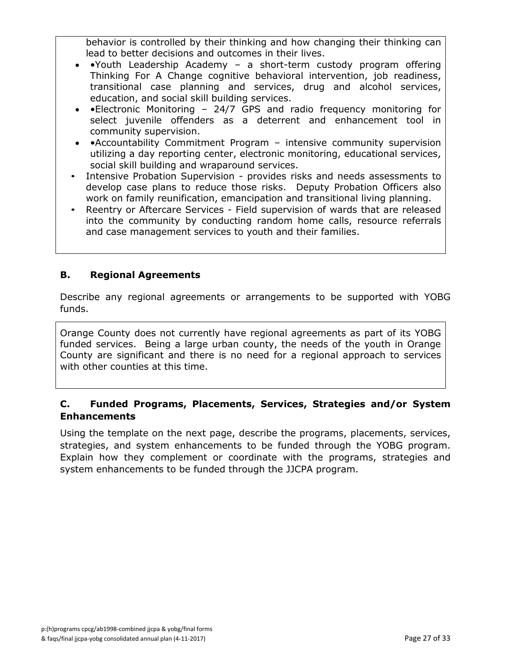behavior is controlled by their thinking and how changing their thinking can lead to better decisions and outcomes in their lives.

- •Youth Leadership Academy a short-term custody program offering Thinking For A Change cognitive behavioral intervention, job readiness, transitional case planning and services, drug and alcohol services, education, and social skill building services.
- •Electronic Monitoring 24/7 GPS and radio frequency monitoring for select juvenile offenders as a deterrent and enhancement tool in community supervision.
- •Accountability Commitment Program intensive community supervision utilizing a day reporting center, electronic monitoring, educational services, social skill building and wraparound services.
- Intensive Probation Supervision provides risks and needs assessments to develop case plans to reduce those risks. Deputy Probation Officers also work on family reunification, emancipation and transitional living planning.
- Reentry or Aftercare Services Field supervision of wards that are released into the community by conducting random home calls, resource referrals and case management services to youth and their families.

#### **B. Regional Agreements**

Describe any regional agreements or arrangements to be supported with YOBG funds.

Orange County does not currently have regional agreements as part of its YOBG funded services. Being a large urban county, the needs of the youth in Orange County are significant and there is no need for a regional approach to services with other counties at this time.

### **C. Funded Programs, Placements, Services, Strategies and/or System Enhancements**

Using the template on the next page, describe the programs, placements, services, strategies, and system enhancements to be funded through the YOBG program. Explain how they complement or coordinate with the programs, strategies and system enhancements to be funded through the JJCPA program.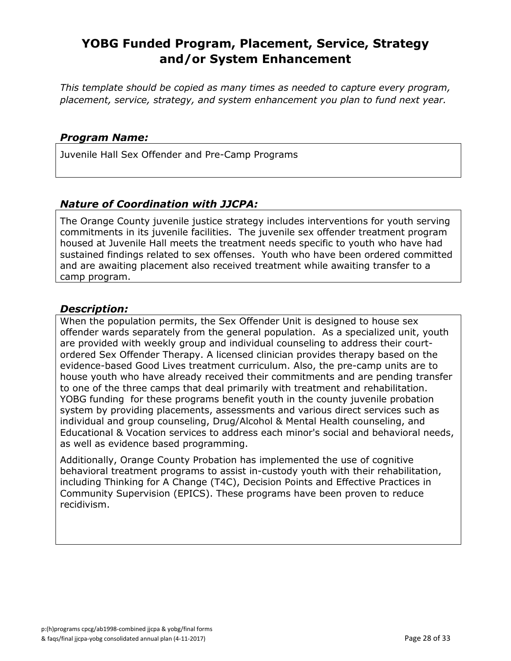# **YOBG Funded Program, Placement, Service, Strategy and/or System Enhancement**

*This template should be copied as many times as needed to capture every program, placement, service, strategy, and system enhancement you plan to fund next year.*

#### *Program Name:*

Juvenile Hall Sex Offender and Pre-Camp Programs

### *Nature of Coordination with JJCPA:*

The Orange County juvenile justice strategy includes interventions for youth serving commitments in its juvenile facilities. The juvenile sex offender treatment program housed at Juvenile Hall meets the treatment needs specific to youth who have had sustained findings related to sex offenses. Youth who have been ordered committed and are awaiting placement also received treatment while awaiting transfer to a camp program.

#### *Description:*

When the population permits, the Sex Offender Unit is designed to house sex offender wards separately from the general population. As a specialized unit, youth are provided with weekly group and individual counseling to address their courtordered Sex Offender Therapy. A licensed clinician provides therapy based on the evidence-based Good Lives treatment curriculum. Also, the pre-camp units are to house youth who have already received their commitments and are pending transfer to one of the three camps that deal primarily with treatment and rehabilitation. YOBG funding for these programs benefit youth in the county juvenile probation system by providing placements, assessments and various direct services such as individual and group counseling, Drug/Alcohol & Mental Health counseling, and Educational & Vocation services to address each minor's social and behavioral needs, as well as evidence based programming.

Additionally, Orange County Probation has implemented the use of cognitive behavioral treatment programs to assist in-custody youth with their rehabilitation, including Thinking for A Change (T4C), Decision Points and Effective Practices in Community Supervision (EPICS). These programs have been proven to reduce recidivism.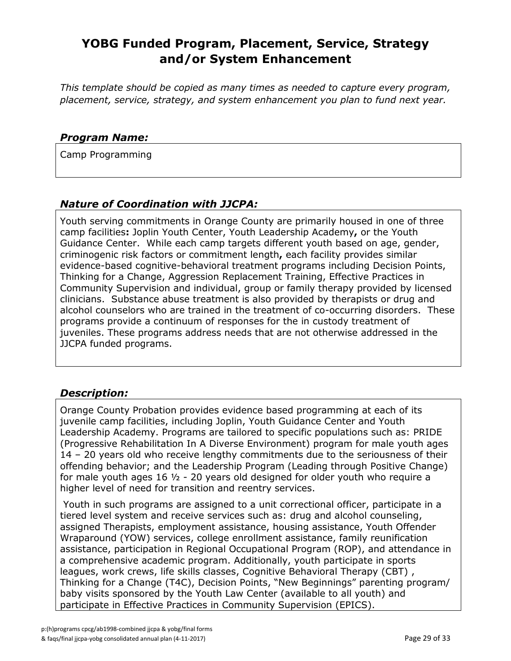# **YOBG Funded Program, Placement, Service, Strategy and/or System Enhancement**

*This template should be copied as many times as needed to capture every program, placement, service, strategy, and system enhancement you plan to fund next year.*

#### *Program Name:*

Camp Programming

### *Nature of Coordination with JJCPA:*

Youth serving commitments in Orange County are primarily housed in one of three camp facilities**:** Joplin Youth Center, Youth Leadership Academy**,** or the Youth Guidance Center. While each camp targets different youth based on age, gender, criminogenic risk factors or commitment length**,** each facility provides similar evidence-based cognitive-behavioral treatment programs including Decision Points, Thinking for a Change, Aggression Replacement Training, Effective Practices in Community Supervision and individual, group or family therapy provided by licensed clinicians. Substance abuse treatment is also provided by therapists or drug and alcohol counselors who are trained in the treatment of co-occurring disorders. These programs provide a continuum of responses for the in custody treatment of juveniles. These programs address needs that are not otherwise addressed in the JJCPA funded programs.

### *Description:*

Orange County Probation provides evidence based programming at each of its juvenile camp facilities, including Joplin, Youth Guidance Center and Youth Leadership Academy. Programs are tailored to specific populations such as: PRIDE (Progressive Rehabilitation In A Diverse Environment) program for male youth ages 14 – 20 years old who receive lengthy commitments due to the seriousness of their offending behavior; and the Leadership Program (Leading through Positive Change) for male youth ages 16  $\frac{1}{2}$  - 20 years old designed for older youth who require a higher level of need for transition and reentry services.

Youth in such programs are assigned to a unit correctional officer, participate in a tiered level system and receive services such as: drug and alcohol counseling, assigned Therapists, employment assistance, housing assistance, Youth Offender Wraparound (YOW) services, college enrollment assistance, family reunification assistance, participation in Regional Occupational Program (ROP), and attendance in a comprehensive academic program. Additionally, youth participate in sports leagues, work crews, life skills classes, Cognitive Behavioral Therapy (CBT) , Thinking for a Change (T4C), Decision Points, "New Beginnings" parenting program/ baby visits sponsored by the Youth Law Center (available to all youth) and participate in Effective Practices in Community Supervision (EPICS).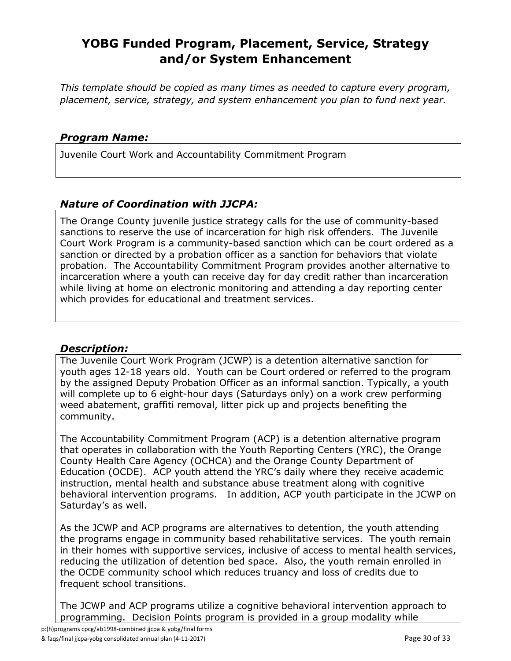# **YOBG Funded Program, Placement, Service, Strategy and/or System Enhancement**

*This template should be copied as many times as needed to capture every program, placement, service, strategy, and system enhancement you plan to fund next year.*

#### *Program Name:*

Juvenile Court Work and Accountability Commitment Program

# *Nature of Coordination with JJCPA:*

The Orange County juvenile justice strategy calls for the use of community-based sanctions to reserve the use of incarceration for high risk offenders. The Juvenile Court Work Program is a community-based sanction which can be court ordered as a sanction or directed by a probation officer as a sanction for behaviors that violate probation. The Accountability Commitment Program provides another alternative to incarceration where a youth can receive day for day credit rather than incarceration while living at home on electronic monitoring and attending a day reporting center which provides for educational and treatment services.

#### *Description:*

The Juvenile Court Work Program (JCWP) is a detention alternative sanction for youth ages 12-18 years old. Youth can be Court ordered or referred to the program by the assigned Deputy Probation Officer as an informal sanction. Typically, a youth will complete up to 6 eight-hour days (Saturdays only) on a work crew performing weed abatement, graffiti removal, litter pick up and projects benefiting the community.

The Accountability Commitment Program (ACP) is a detention alternative program that operates in collaboration with the Youth Reporting Centers (YRC), the Orange County Health Care Agency (OCHCA) and the Orange County Department of Education (OCDE). ACP youth attend the YRC's daily where they receive academic instruction, mental health and substance abuse treatment along with cognitive behavioral intervention programs. In addition, ACP youth participate in the JCWP on Saturday's as well.

As the JCWP and ACP programs are alternatives to detention, the youth attending the programs engage in community based rehabilitative services. The youth remain in their homes with supportive services, inclusive of access to mental health services, reducing the utilization of detention bed space. Also, the youth remain enrolled in the OCDE community school which reduces truancy and loss of credits due to frequent school transitions.

The JCWP and ACP programs utilize a cognitive behavioral intervention approach to programming. Decision Points program is provided in a group modality while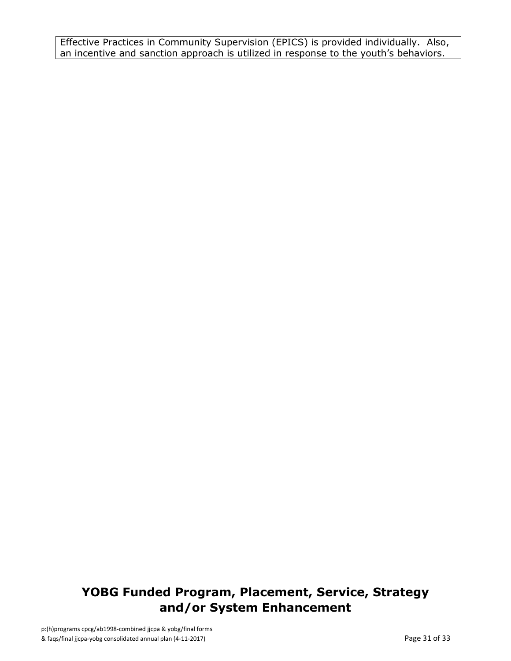Effective Practices in Community Supervision (EPICS) is provided individually. Also, an incentive and sanction approach is utilized in response to the youth's behaviors.

# **YOBG Funded Program, Placement, Service, Strategy and/or System Enhancement**

p:(h)programs cpcg/ab1998-combined jjcpa & yobg/final forms & faqs/final jjcpa-yobg consolidated annual plan (4-11-2017) Page 31 of 33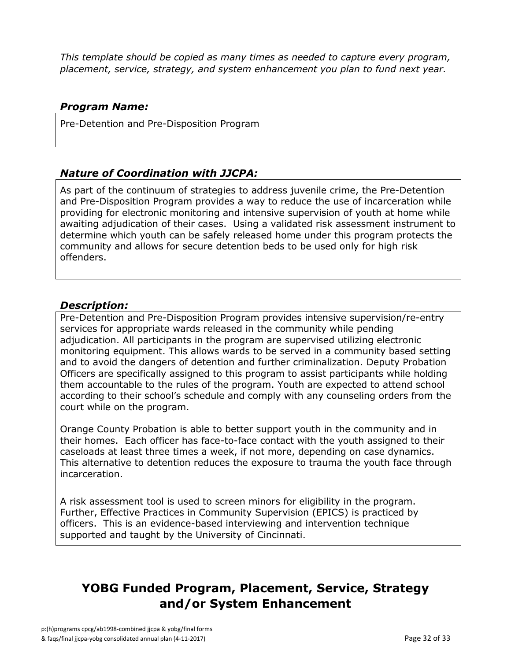*This template should be copied as many times as needed to capture every program, placement, service, strategy, and system enhancement you plan to fund next year.*

# *Program Name:*

Pre-Detention and Pre-Disposition Program

# *Nature of Coordination with JJCPA:*

As part of the continuum of strategies to address juvenile crime, the Pre-Detention and Pre-Disposition Program provides a way to reduce the use of incarceration while providing for electronic monitoring and intensive supervision of youth at home while awaiting adjudication of their cases. Using a validated risk assessment instrument to determine which youth can be safely released home under this program protects the community and allows for secure detention beds to be used only for high risk offenders.

### *Description:*

Pre-Detention and Pre-Disposition Program provides intensive supervision/re-entry services for appropriate wards released in the community while pending adjudication. All participants in the program are supervised utilizing electronic monitoring equipment. This allows wards to be served in a community based setting and to avoid the dangers of detention and further criminalization. Deputy Probation Officers are specifically assigned to this program to assist participants while holding them accountable to the rules of the program. Youth are expected to attend school according to their school's schedule and comply with any counseling orders from the court while on the program.

Orange County Probation is able to better support youth in the community and in their homes. Each officer has face-to-face contact with the youth assigned to their caseloads at least three times a week, if not more, depending on case dynamics. This alternative to detention reduces the exposure to trauma the youth face through incarceration.

A risk assessment tool is used to screen minors for eligibility in the program. Further, Effective Practices in Community Supervision (EPICS) is practiced by officers. This is an evidence-based interviewing and intervention technique supported and taught by the University of Cincinnati.

# **YOBG Funded Program, Placement, Service, Strategy and/or System Enhancement**